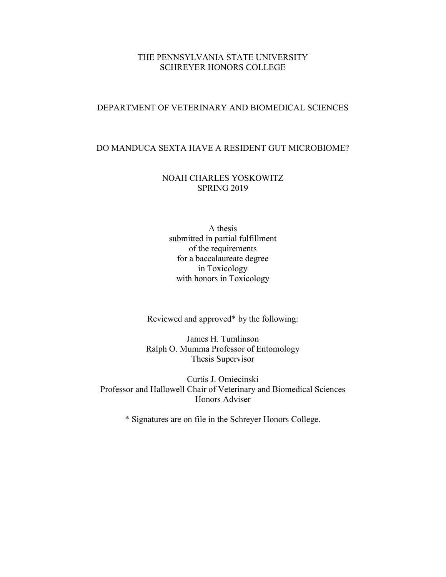## THE PENNSYLVANIA STATE UNIVERSITY SCHREYER HONORS COLLEGE

## DEPARTMENT OF VETERINARY AND BIOMEDICAL SCIENCES

## DO MANDUCA SEXTA HAVE A RESIDENT GUT MICROBIOME?

## NOAH CHARLES YOSKOWITZ SPRING 2019

A thesis submitted in partial fulfillment of the requirements for a baccalaureate degree in Toxicology with honors in Toxicology

Reviewed and approved\* by the following:

James H. Tumlinson Ralph O. Mumma Professor of Entomology Thesis Supervisor

Curtis J. Omiecinski Professor and Hallowell Chair of Veterinary and Biomedical Sciences Honors Adviser

\* Signatures are on file in the Schreyer Honors College.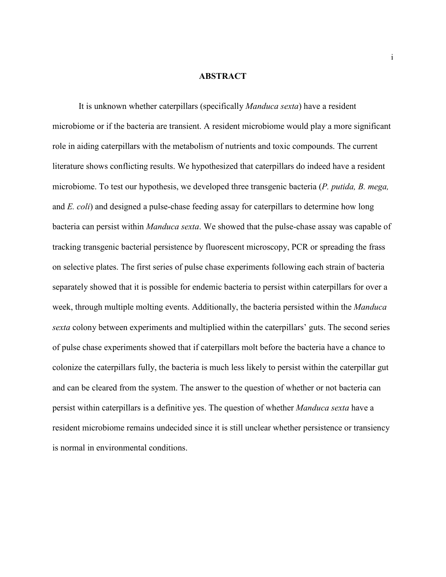#### **ABSTRACT**

It is unknown whether caterpillars (specifically *Manduca sexta*) have a resident microbiome or if the bacteria are transient. A resident microbiome would play a more significant role in aiding caterpillars with the metabolism of nutrients and toxic compounds. The current literature shows conflicting results. We hypothesized that caterpillars do indeed have a resident microbiome. To test our hypothesis, we developed three transgenic bacteria (*P. putida, B. mega,*  and *E. coli*) and designed a pulse-chase feeding assay for caterpillars to determine how long bacteria can persist within *Manduca sexta*. We showed that the pulse-chase assay was capable of tracking transgenic bacterial persistence by fluorescent microscopy, PCR or spreading the frass on selective plates. The first series of pulse chase experiments following each strain of bacteria separately showed that it is possible for endemic bacteria to persist within caterpillars for over a week, through multiple molting events. Additionally, the bacteria persisted within the *Manduca sexta* colony between experiments and multiplied within the caterpillars' guts. The second series of pulse chase experiments showed that if caterpillars molt before the bacteria have a chance to colonize the caterpillars fully, the bacteria is much less likely to persist within the caterpillar gut and can be cleared from the system. The answer to the question of whether or not bacteria can persist within caterpillars is a definitive yes. The question of whether *Manduca sexta* have a resident microbiome remains undecided since it is still unclear whether persistence or transiency is normal in environmental conditions.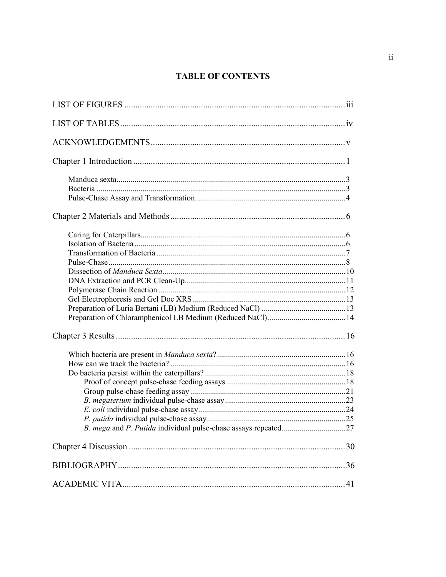# **TABLE OF CONTENTS**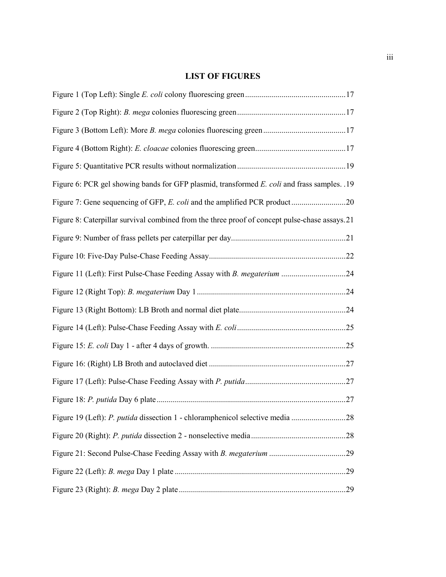# **LIST OF FIGURES**

| Figure 6: PCR gel showing bands for GFP plasmid, transformed E. coli and frass samples. .19   |
|-----------------------------------------------------------------------------------------------|
|                                                                                               |
| Figure 8: Caterpillar survival combined from the three proof of concept pulse-chase assays.21 |
|                                                                                               |
|                                                                                               |
| Figure 11 (Left): First Pulse-Chase Feeding Assay with B. megaterium 24                       |
|                                                                                               |
|                                                                                               |
|                                                                                               |
|                                                                                               |
|                                                                                               |
|                                                                                               |
|                                                                                               |
| Figure 19 (Left): P. putida dissection 1 - chloramphenicol selective media 28                 |
|                                                                                               |
|                                                                                               |
|                                                                                               |
|                                                                                               |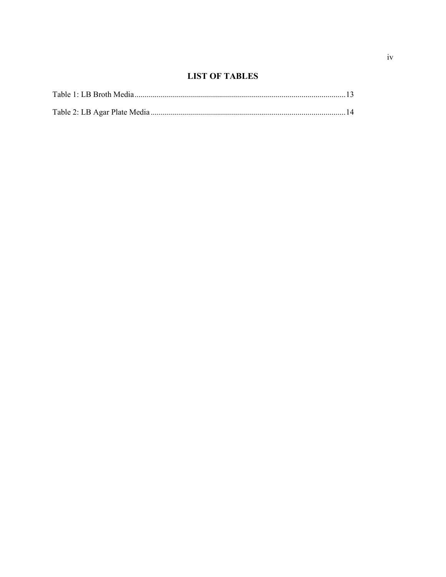# **LIST OF TABLES**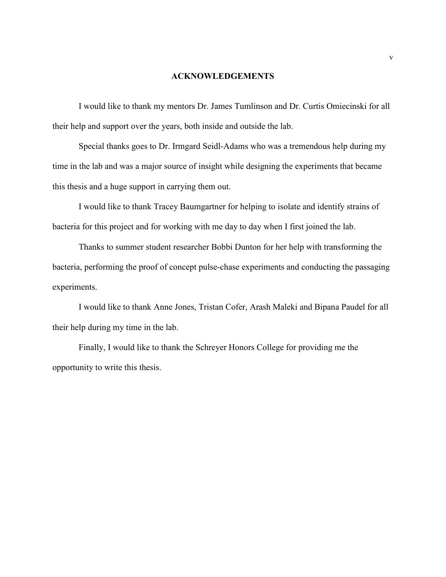## **ACKNOWLEDGEMENTS**

I would like to thank my mentors Dr. James Tumlinson and Dr. Curtis Omiecinski for all their help and support over the years, both inside and outside the lab.

Special thanks goes to Dr. Irmgard Seidl-Adams who was a tremendous help during my time in the lab and was a major source of insight while designing the experiments that became this thesis and a huge support in carrying them out.

I would like to thank Tracey Baumgartner for helping to isolate and identify strains of bacteria for this project and for working with me day to day when I first joined the lab.

Thanks to summer student researcher Bobbi Dunton for her help with transforming the bacteria, performing the proof of concept pulse-chase experiments and conducting the passaging experiments.

I would like to thank Anne Jones, Tristan Cofer, Arash Maleki and Bipana Paudel for all their help during my time in the lab.

Finally, I would like to thank the Schreyer Honors College for providing me the opportunity to write this thesis.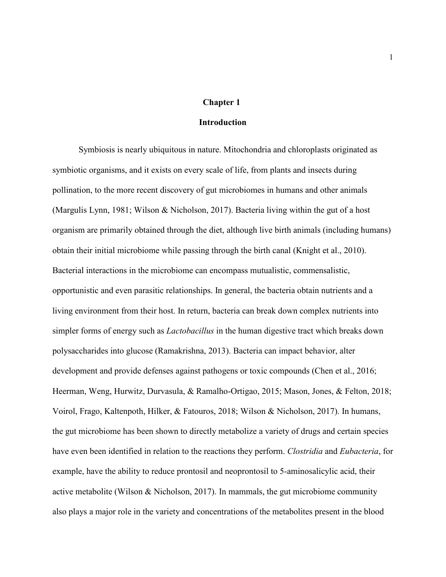## **Chapter 1**

### **Introduction**

<span id="page-6-0"></span>Symbiosis is nearly ubiquitous in nature. Mitochondria and chloroplasts originated as symbiotic organisms, and it exists on every scale of life, from plants and insects during pollination, to the more recent discovery of gut microbiomes in humans and other animals (Margulis Lynn, 1981; Wilson & Nicholson, 2017). Bacteria living within the gut of a host organism are primarily obtained through the diet, although live birth animals (including humans) obtain their initial microbiome while passing through the birth canal (Knight et al., 2010). Bacterial interactions in the microbiome can encompass mutualistic, commensalistic, opportunistic and even parasitic relationships. In general, the bacteria obtain nutrients and a living environment from their host. In return, bacteria can break down complex nutrients into simpler forms of energy such as *Lactobacillus* in the human digestive tract which breaks down polysaccharides into glucose (Ramakrishna, 2013). Bacteria can impact behavior, alter development and provide defenses against pathogens or toxic compounds (Chen et al., 2016; Heerman, Weng, Hurwitz, Durvasula, & Ramalho-Ortigao, 2015; Mason, Jones, & Felton, 2018; Voirol, Frago, Kaltenpoth, Hilker, & Fatouros, 2018; Wilson & Nicholson, 2017). In humans, the gut microbiome has been shown to directly metabolize a variety of drugs and certain species have even been identified in relation to the reactions they perform. *Clostridia* and *Eubacteria*, for example, have the ability to reduce prontosil and neoprontosil to 5-aminosalicylic acid, their active metabolite (Wilson & Nicholson, 2017). In mammals, the gut microbiome community also plays a major role in the variety and concentrations of the metabolites present in the blood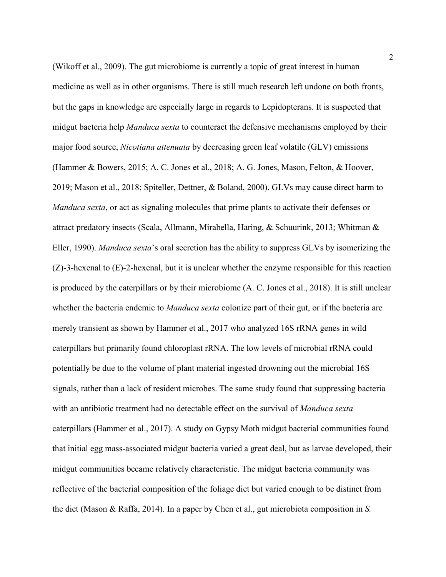(Wikoff et al., 2009). The gut microbiome is currently a topic of great interest in human medicine as well as in other organisms. There is still much research left undone on both fronts, but the gaps in knowledge are especially large in regards to Lepidopterans. It is suspected that midgut bacteria help *Manduca sexta* to counteract the defensive mechanisms employed by their major food source, *Nicotiana attenuata* by decreasing green leaf volatile (GLV) emissions (Hammer & Bowers, 2015; A. C. Jones et al., 2018; A. G. Jones, Mason, Felton, & Hoover, 2019; Mason et al., 2018; Spiteller, Dettner, & Boland, 2000). GLVs may cause direct harm to *Manduca sexta*, or act as signaling molecules that prime plants to activate their defenses or attract predatory insects (Scala, Allmann, Mirabella, Haring, & Schuurink, 2013; Whitman & Eller, 1990). *Manduca sexta*'s oral secretion has the ability to suppress GLVs by isomerizing the (Z)-3-hexenal to (E)-2-hexenal, but it is unclear whether the enzyme responsible for this reaction is produced by the caterpillars or by their microbiome (A. C. Jones et al., 2018). It is still unclear whether the bacteria endemic to *Manduca sexta* colonize part of their gut, or if the bacteria are merely transient as shown by Hammer et al., 2017 who analyzed 16S rRNA genes in wild caterpillars but primarily found chloroplast rRNA. The low levels of microbial rRNA could potentially be due to the volume of plant material ingested drowning out the microbial 16S signals, rather than a lack of resident microbes. The same study found that suppressing bacteria with an antibiotic treatment had no detectable effect on the survival of *Manduca sexta*  caterpillars (Hammer et al., 2017). A study on Gypsy Moth midgut bacterial communities found that initial egg mass-associated midgut bacteria varied a great deal, but as larvae developed, their midgut communities became relatively characteristic. The midgut bacteria community was reflective of the bacterial composition of the foliage diet but varied enough to be distinct from the diet (Mason & Raffa, 2014). In a paper by Chen et al., gut microbiota composition in *S.*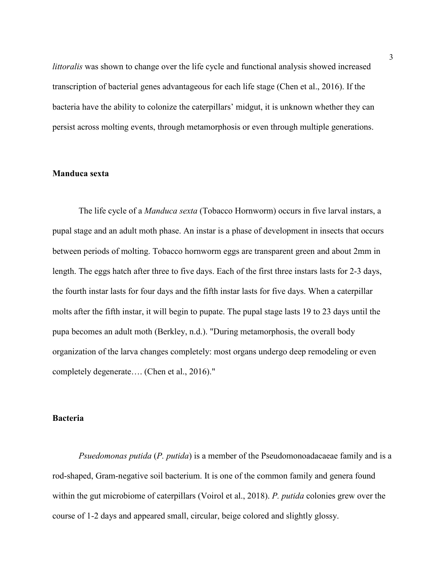*littoralis* was shown to change over the life cycle and functional analysis showed increased transcription of bacterial genes advantageous for each life stage (Chen et al., 2016). If the bacteria have the ability to colonize the caterpillars' midgut, it is unknown whether they can persist across molting events, through metamorphosis or even through multiple generations.

## <span id="page-8-0"></span>**Manduca sexta**

The life cycle of a *Manduca sexta* (Tobacco Hornworm) occurs in five larval instars, a pupal stage and an adult moth phase. An instar is a phase of development in insects that occurs between periods of molting. Tobacco hornworm eggs are transparent green and about 2mm in length. The eggs hatch after three to five days. Each of the first three instars lasts for 2-3 days, the fourth instar lasts for four days and the fifth instar lasts for five days. When a caterpillar molts after the fifth instar, it will begin to pupate. The pupal stage lasts 19 to 23 days until the pupa becomes an adult moth (Berkley, n.d.). "During metamorphosis, the overall body organization of the larva changes completely: most organs undergo deep remodeling or even completely degenerate…. (Chen et al., 2016)."

## <span id="page-8-1"></span>**Bacteria**

*Psuedomonas putida* (*P. putida*) is a member of the Pseudomonoadacaeae family and is a rod-shaped, Gram-negative soil bacterium. It is one of the common family and genera found within the gut microbiome of caterpillars (Voirol et al., 2018). *P. putida* colonies grew over the course of 1-2 days and appeared small, circular, beige colored and slightly glossy.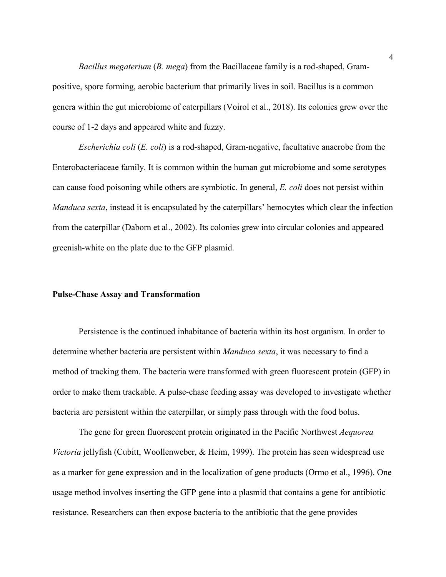*Bacillus megaterium* (*B. mega*) from the Bacillaceae family is a rod-shaped, Grampositive, spore forming, aerobic bacterium that primarily lives in soil. Bacillus is a common genera within the gut microbiome of caterpillars (Voirol et al., 2018). Its colonies grew over the course of 1-2 days and appeared white and fuzzy.

*Escherichia coli* (*E. coli*) is a rod-shaped, Gram-negative, facultative anaerobe from the Enterobacteriaceae family. It is common within the human gut microbiome and some serotypes can cause food poisoning while others are symbiotic. In general, *E. coli* does not persist within *Manduca sexta*, instead it is encapsulated by the caterpillars' hemocytes which clear the infection from the caterpillar (Daborn et al., 2002). Its colonies grew into circular colonies and appeared greenish-white on the plate due to the GFP plasmid.

## <span id="page-9-0"></span>**Pulse-Chase Assay and Transformation**

Persistence is the continued inhabitance of bacteria within its host organism. In order to determine whether bacteria are persistent within *Manduca sexta*, it was necessary to find a method of tracking them. The bacteria were transformed with green fluorescent protein (GFP) in order to make them trackable. A pulse-chase feeding assay was developed to investigate whether bacteria are persistent within the caterpillar, or simply pass through with the food bolus.

The gene for green fluorescent protein originated in the Pacific Northwest *Aequorea Victoria* jellyfish (Cubitt, Woollenweber, & Heim, 1999). The protein has seen widespread use as a marker for gene expression and in the localization of gene products (Ormo et al., 1996). One usage method involves inserting the GFP gene into a plasmid that contains a gene for antibiotic resistance. Researchers can then expose bacteria to the antibiotic that the gene provides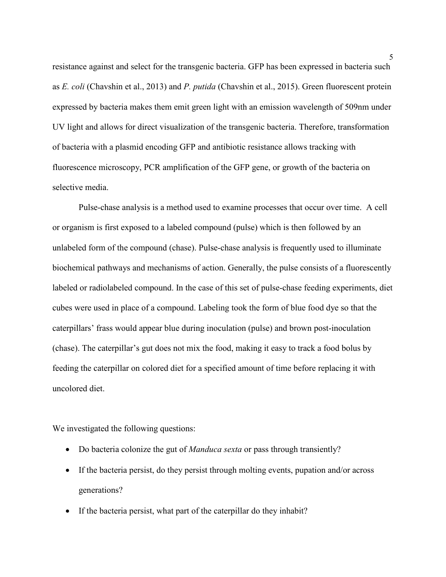resistance against and select for the transgenic bacteria. GFP has been expressed in bacteria such as *E. coli* (Chavshin et al., 2013) and *P. putida* (Chavshin et al., 2015). Green fluorescent protein expressed by bacteria makes them emit green light with an emission wavelength of 509nm under UV light and allows for direct visualization of the transgenic bacteria. Therefore, transformation of bacteria with a plasmid encoding GFP and antibiotic resistance allows tracking with fluorescence microscopy, PCR amplification of the GFP gene, or growth of the bacteria on selective media.

Pulse-chase analysis is a method used to examine processes that occur over time. A cell or organism is first exposed to a labeled compound (pulse) which is then followed by an unlabeled form of the compound (chase). Pulse-chase analysis is frequently used to illuminate biochemical pathways and mechanisms of action. Generally, the pulse consists of a fluorescently labeled or radiolabeled compound. In the case of this set of pulse-chase feeding experiments, diet cubes were used in place of a compound. Labeling took the form of blue food dye so that the caterpillars' frass would appear blue during inoculation (pulse) and brown post-inoculation (chase). The caterpillar's gut does not mix the food, making it easy to track a food bolus by feeding the caterpillar on colored diet for a specified amount of time before replacing it with uncolored diet.

We investigated the following questions:

- Do bacteria colonize the gut of *Manduca sexta* or pass through transiently?
- If the bacteria persist, do they persist through molting events, pupation and/or across generations?
- If the bacteria persist, what part of the caterpillar do they inhabit?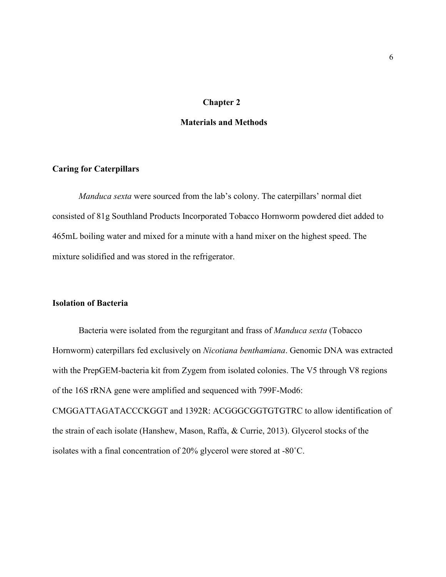## **Chapter 2**

## <span id="page-11-0"></span>**Materials and Methods**

#### <span id="page-11-1"></span>**Caring for Caterpillars**

*Manduca sexta* were sourced from the lab's colony. The caterpillars' normal diet consisted of 81g Southland Products Incorporated Tobacco Hornworm powdered diet added to 465mL boiling water and mixed for a minute with a hand mixer on the highest speed. The mixture solidified and was stored in the refrigerator.

## <span id="page-11-2"></span>**Isolation of Bacteria**

Bacteria were isolated from the regurgitant and frass of *Manduca sexta* (Tobacco Hornworm) caterpillars fed exclusively on *Nicotiana benthamiana*. Genomic DNA was extracted with the PrepGEM-bacteria kit from Zygem from isolated colonies. The V5 through V8 regions of the 16S rRNA gene were amplified and sequenced with 799F-Mod6: CMGGATTAGATACCCKGGT and 1392R: ACGGGCGGTGTGTRC to allow identification of the strain of each isolate (Hanshew, Mason, Raffa, & Currie, 2013). Glycerol stocks of the isolates with a final concentration of 20% glycerol were stored at -80˚C.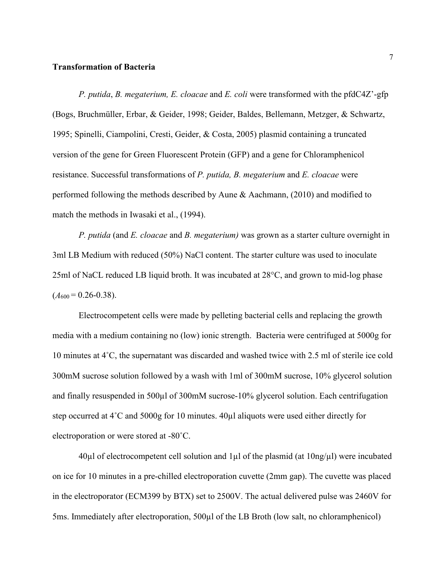#### <span id="page-12-0"></span>**Transformation of Bacteria**

*P. putida*, *B. megaterium, E. cloacae* and *E. coli* were transformed with the pfdC4Z'-gfp (Bogs, Bruchmüller, Erbar, & Geider, 1998; Geider, Baldes, Bellemann, Metzger, & Schwartz, 1995; Spinelli, Ciampolini, Cresti, Geider, & Costa, 2005) plasmid containing a truncated version of the gene for Green Fluorescent Protein (GFP) and a gene for Chloramphenicol resistance. Successful transformations of *P. putida, B. megaterium* and *E. cloacae* were performed following the methods described by Aune & Aachmann, (2010) and modified to match the methods in Iwasaki et al., (1994).

*P. putida* (and *E. cloacae* and *B. megaterium)* was grown as a starter culture overnight in 3ml LB Medium with reduced (50%) NaCl content. The starter culture was used to inoculate 25ml of NaCL reduced LB liquid broth. It was incubated at 28°C, and grown to mid-log phase  $(A_{600} = 0.26 - 0.38).$ 

Electrocompetent cells were made by pelleting bacterial cells and replacing the growth media with a medium containing no (low) ionic strength. Bacteria were centrifuged at 5000g for 10 minutes at 4˚C, the supernatant was discarded and washed twice with 2.5 ml of sterile ice cold 300mM sucrose solution followed by a wash with 1ml of 300mM sucrose, 10% glycerol solution and finally resuspended in 500µl of 300mM sucrose-10% glycerol solution. Each centrifugation step occurred at 4˚C and 5000g for 10 minutes. 40µl aliquots were used either directly for electroporation or were stored at -80˚C.

 $40\mu$ l of electrocompetent cell solution and 1 $\mu$ l of the plasmid (at  $10\text{ng}/\mu$ l) were incubated on ice for 10 minutes in a pre-chilled electroporation cuvette (2mm gap). The cuvette was placed in the electroporator (ECM399 by BTX) set to 2500V. The actual delivered pulse was 2460V for 5ms. Immediately after electroporation, 500µl of the LB Broth (low salt, no chloramphenicol)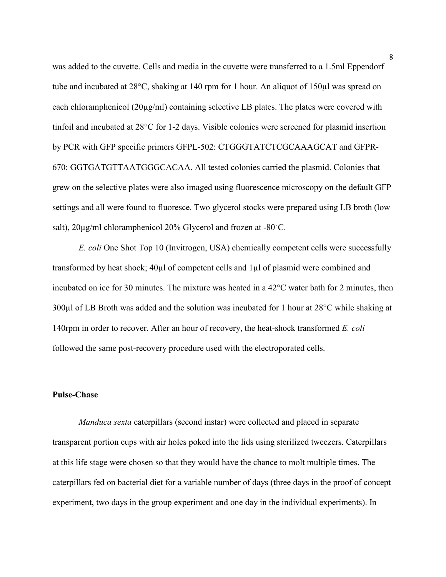was added to the cuvette. Cells and media in the cuvette were transferred to a 1.5ml Eppendorf tube and incubated at 28°C, shaking at 140 rpm for 1 hour. An aliquot of 150µl was spread on each chloramphenicol  $(20\mu g/ml)$  containing selective LB plates. The plates were covered with tinfoil and incubated at 28°C for 1-2 days. Visible colonies were screened for plasmid insertion by PCR with GFP specific primers GFPL-502: CTGGGTATCTCGCAAAGCAT and GFPR-670: GGTGATGTTAATGGGCACAA. All tested colonies carried the plasmid. Colonies that grew on the selective plates were also imaged using fluorescence microscopy on the default GFP settings and all were found to fluoresce. Two glycerol stocks were prepared using LB broth (low salt), 20µg/ml chloramphenicol 20% Glycerol and frozen at -80˚C.

*E. coli* One Shot Top 10 (Invitrogen, USA) chemically competent cells were successfully transformed by heat shock; 40µl of competent cells and 1µl of plasmid were combined and incubated on ice for 30 minutes. The mixture was heated in a 42°C water bath for 2 minutes, then 300µl of LB Broth was added and the solution was incubated for 1 hour at 28°C while shaking at 140rpm in order to recover. After an hour of recovery, the heat-shock transformed *E. coli* followed the same post-recovery procedure used with the electroporated cells.

## <span id="page-13-0"></span>**Pulse-Chase**

*Manduca sexta* caterpillars (second instar) were collected and placed in separate transparent portion cups with air holes poked into the lids using sterilized tweezers. Caterpillars at this life stage were chosen so that they would have the chance to molt multiple times. The caterpillars fed on bacterial diet for a variable number of days (three days in the proof of concept experiment, two days in the group experiment and one day in the individual experiments). In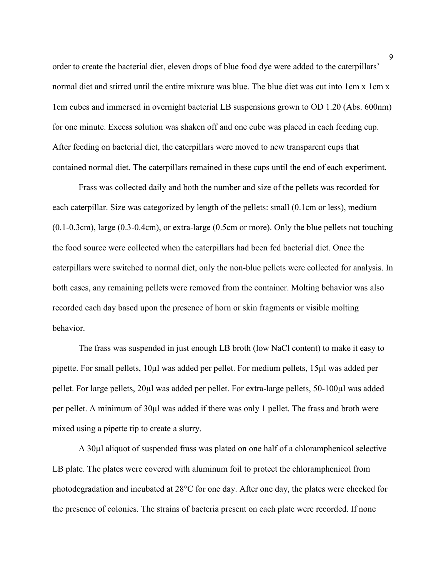order to create the bacterial diet, eleven drops of blue food dye were added to the caterpillars' normal diet and stirred until the entire mixture was blue. The blue diet was cut into 1cm x 1cm x 1cm cubes and immersed in overnight bacterial LB suspensions grown to OD 1.20 (Abs. 600nm) for one minute. Excess solution was shaken off and one cube was placed in each feeding cup. After feeding on bacterial diet, the caterpillars were moved to new transparent cups that contained normal diet. The caterpillars remained in these cups until the end of each experiment.

Frass was collected daily and both the number and size of the pellets was recorded for each caterpillar. Size was categorized by length of the pellets: small (0.1cm or less), medium (0.1-0.3cm), large (0.3-0.4cm), or extra-large (0.5cm or more). Only the blue pellets not touching the food source were collected when the caterpillars had been fed bacterial diet. Once the caterpillars were switched to normal diet, only the non-blue pellets were collected for analysis. In both cases, any remaining pellets were removed from the container. Molting behavior was also recorded each day based upon the presence of horn or skin fragments or visible molting behavior.

The frass was suspended in just enough LB broth (low NaCl content) to make it easy to pipette. For small pellets, 10µl was added per pellet. For medium pellets, 15µl was added per pellet. For large pellets, 20µl was added per pellet. For extra-large pellets, 50-100µl was added per pellet. A minimum of 30µl was added if there was only 1 pellet. The frass and broth were mixed using a pipette tip to create a slurry.

A 30µl aliquot of suspended frass was plated on one half of a chloramphenicol selective LB plate. The plates were covered with aluminum foil to protect the chloramphenicol from photodegradation and incubated at 28°C for one day. After one day, the plates were checked for the presence of colonies. The strains of bacteria present on each plate were recorded. If none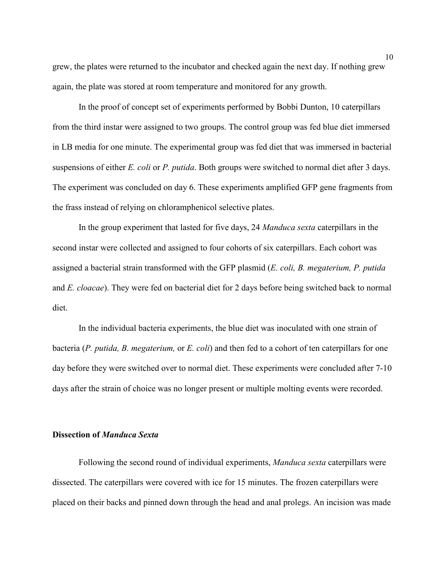grew, the plates were returned to the incubator and checked again the next day. If nothing grew again, the plate was stored at room temperature and monitored for any growth.

In the proof of concept set of experiments performed by Bobbi Dunton, 10 caterpillars from the third instar were assigned to two groups. The control group was fed blue diet immersed in LB media for one minute. The experimental group was fed diet that was immersed in bacterial suspensions of either *E. coli* or *P. putida*. Both groups were switched to normal diet after 3 days. The experiment was concluded on day 6. These experiments amplified GFP gene fragments from the frass instead of relying on chloramphenicol selective plates.

In the group experiment that lasted for five days, 24 *Manduca sexta* caterpillars in the second instar were collected and assigned to four cohorts of six caterpillars. Each cohort was assigned a bacterial strain transformed with the GFP plasmid (*E. coli, B. megaterium, P. putida*  and *E. cloacae*). They were fed on bacterial diet for 2 days before being switched back to normal diet.

In the individual bacteria experiments, the blue diet was inoculated with one strain of bacteria (*P. putida, B. megaterium,* or *E. coli*) and then fed to a cohort of ten caterpillars for one day before they were switched over to normal diet. These experiments were concluded after 7-10 days after the strain of choice was no longer present or multiple molting events were recorded.

## <span id="page-15-0"></span>**Dissection of** *Manduca Sexta*

Following the second round of individual experiments, *Manduca sexta* caterpillars were dissected. The caterpillars were covered with ice for 15 minutes. The frozen caterpillars were placed on their backs and pinned down through the head and anal prolegs. An incision was made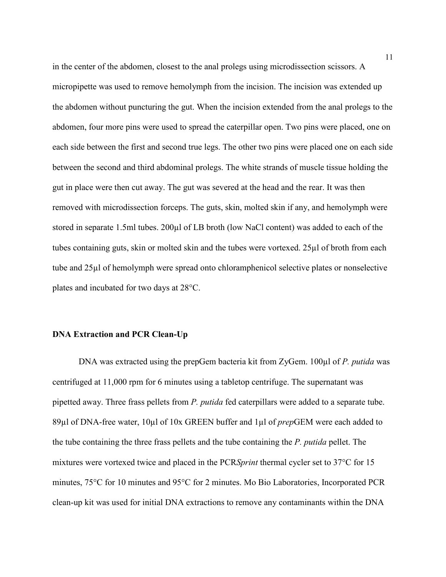in the center of the abdomen, closest to the anal prolegs using microdissection scissors. A micropipette was used to remove hemolymph from the incision. The incision was extended up the abdomen without puncturing the gut. When the incision extended from the anal prolegs to the abdomen, four more pins were used to spread the caterpillar open. Two pins were placed, one on each side between the first and second true legs. The other two pins were placed one on each side between the second and third abdominal prolegs. The white strands of muscle tissue holding the gut in place were then cut away. The gut was severed at the head and the rear. It was then removed with microdissection forceps. The guts, skin, molted skin if any, and hemolymph were stored in separate 1.5ml tubes. 200µl of LB broth (low NaCl content) was added to each of the tubes containing guts, skin or molted skin and the tubes were vortexed. 25µl of broth from each tube and 25µl of hemolymph were spread onto chloramphenicol selective plates or nonselective plates and incubated for two days at 28°C.

## <span id="page-16-0"></span>**DNA Extraction and PCR Clean-Up**

DNA was extracted using the prepGem bacteria kit from ZyGem. 100µl of *P. putida* was centrifuged at 11,000 rpm for 6 minutes using a tabletop centrifuge. The supernatant was pipetted away. Three frass pellets from *P. putida* fed caterpillars were added to a separate tube. 89µl of DNA-free water, 10µl of 10x GREEN buffer and 1µl of *prep*GEM were each added to the tube containing the three frass pellets and the tube containing the *P. putida* pellet. The mixtures were vortexed twice and placed in the PCR*Sprint* thermal cycler set to 37°C for 15 minutes, 75°C for 10 minutes and 95°C for 2 minutes. Mo Bio Laboratories, Incorporated PCR clean-up kit was used for initial DNA extractions to remove any contaminants within the DNA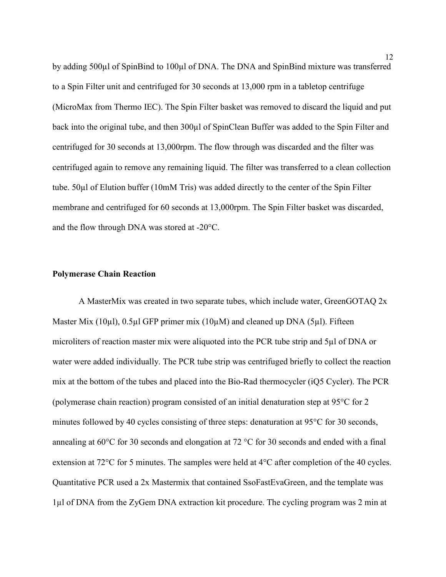by adding 500µl of SpinBind to 100µl of DNA. The DNA and SpinBind mixture was transferred to a Spin Filter unit and centrifuged for 30 seconds at 13,000 rpm in a tabletop centrifuge (MicroMax from Thermo IEC). The Spin Filter basket was removed to discard the liquid and put back into the original tube, and then 300µl of SpinClean Buffer was added to the Spin Filter and centrifuged for 30 seconds at 13,000rpm. The flow through was discarded and the filter was centrifuged again to remove any remaining liquid. The filter was transferred to a clean collection tube. 50µl of Elution buffer (10mM Tris) was added directly to the center of the Spin Filter membrane and centrifuged for 60 seconds at 13,000rpm. The Spin Filter basket was discarded, and the flow through DNA was stored at -20°C.

#### <span id="page-17-0"></span>**Polymerase Chain Reaction**

A MasterMix was created in two separate tubes, which include water, GreenGOTAQ 2x Master Mix (10 $\mu$ l), 0.5 $\mu$ l GFP primer mix (10 $\mu$ M) and cleaned up DNA (5 $\mu$ l). Fifteen microliters of reaction master mix were aliquoted into the PCR tube strip and 5µl of DNA or water were added individually. The PCR tube strip was centrifuged briefly to collect the reaction mix at the bottom of the tubes and placed into the Bio-Rad thermocycler (iQ5 Cycler). The PCR (polymerase chain reaction) program consisted of an initial denaturation step at 95°C for 2 minutes followed by 40 cycles consisting of three steps: denaturation at 95<sup>o</sup>C for 30 seconds, annealing at 60°C for 30 seconds and elongation at 72 °C for 30 seconds and ended with a final extension at 72°C for 5 minutes. The samples were held at 4°C after completion of the 40 cycles. Quantitative PCR used a 2x Mastermix that contained SsoFastEvaGreen, and the template was 1µl of DNA from the ZyGem DNA extraction kit procedure. The cycling program was 2 min at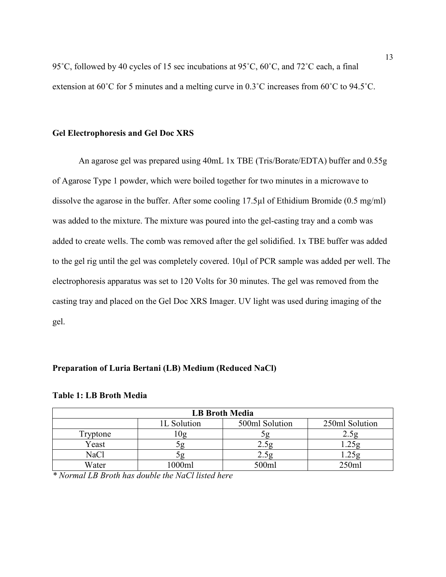95˚C, followed by 40 cycles of 15 sec incubations at 95˚C, 60˚C, and 72˚C each, a final extension at 60˚C for 5 minutes and a melting curve in 0.3˚C increases from 60˚C to 94.5˚C.

## <span id="page-18-0"></span>**Gel Electrophoresis and Gel Doc XRS**

An agarose gel was prepared using 40mL 1x TBE (Tris/Borate/EDTA) buffer and 0.55g of Agarose Type 1 powder, which were boiled together for two minutes in a microwave to dissolve the agarose in the buffer. After some cooling 17.5µl of Ethidium Bromide (0.5 mg/ml) was added to the mixture. The mixture was poured into the gel-casting tray and a comb was added to create wells. The comb was removed after the gel solidified. 1x TBE buffer was added to the gel rig until the gel was completely covered. 10µl of PCR sample was added per well. The electrophoresis apparatus was set to 120 Volts for 30 minutes. The gel was removed from the casting tray and placed on the Gel Doc XRS Imager. UV light was used during imaging of the gel.

## <span id="page-18-1"></span>**Preparation of Luria Bertani (LB) Medium (Reduced NaCl)**

| <b>LB Broth Media</b> |             |                |                |  |
|-----------------------|-------------|----------------|----------------|--|
|                       | 1L Solution | 500ml Solution | 250ml Solution |  |
| Fryptone              |             |                |                |  |
| Yeast                 |             | $\angle . 59$  |                |  |
| NaCl                  |             | 2.5g           | 1.25g          |  |
| Water                 | 000ml       | 500ml          | 250ml          |  |

#### <span id="page-18-2"></span>**Table 1: LB Broth Media**

*\* Normal LB Broth has double the NaCl listed here*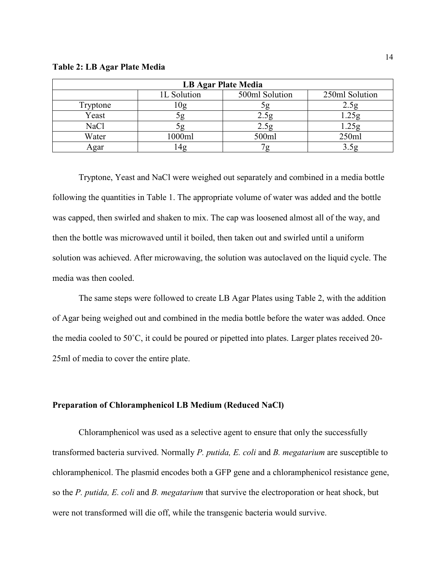#### <span id="page-19-1"></span>**Table 2: LB Agar Plate Media**

| <b>LB Agar Plate Media</b> |             |                |                |  |
|----------------------------|-------------|----------------|----------------|--|
|                            | 1L Solution | 500ml Solution | 250ml Solution |  |
| Tryptone                   | 0g          |                |                |  |
| Yeast                      |             |                |                |  |
| <b>NaCl</b>                | эg          | 2.5g           | 1.25g          |  |
| Water                      | 1000ml      | 500ml          | 250ml          |  |
| Agar                       | 4g          |                |                |  |

Tryptone, Yeast and NaCl were weighed out separately and combined in a media bottle following the quantities in Table 1. The appropriate volume of water was added and the bottle was capped, then swirled and shaken to mix. The cap was loosened almost all of the way, and then the bottle was microwaved until it boiled, then taken out and swirled until a uniform solution was achieved. After microwaving, the solution was autoclaved on the liquid cycle. The media was then cooled.

The same steps were followed to create LB Agar Plates using Table 2, with the addition of Agar being weighed out and combined in the media bottle before the water was added. Once the media cooled to 50˚C, it could be poured or pipetted into plates. Larger plates received 20- 25ml of media to cover the entire plate.

## <span id="page-19-0"></span>**Preparation of Chloramphenicol LB Medium (Reduced NaCl)**

Chloramphenicol was used as a selective agent to ensure that only the successfully transformed bacteria survived. Normally *P. putida, E. coli* and *B. megatarium* are susceptible to chloramphenicol. The plasmid encodes both a GFP gene and a chloramphenicol resistance gene, so the *P. putida, E. coli* and *B. megatarium* that survive the electroporation or heat shock, but were not transformed will die off, while the transgenic bacteria would survive.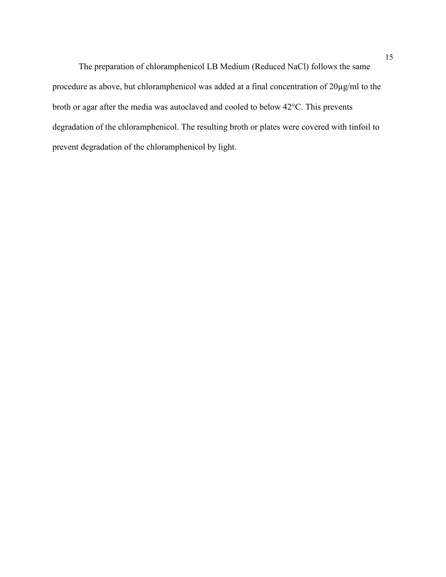The preparation of chloramphenicol LB Medium (Reduced NaCl) follows the same procedure as above, but chloramphenicol was added at a final concentration of 20µg/ml to the broth or agar after the media was autoclaved and cooled to below 42°C. This prevents degradation of the chloramphenicol. The resulting broth or plates were covered with tinfoil to prevent degradation of the chloramphenicol by light.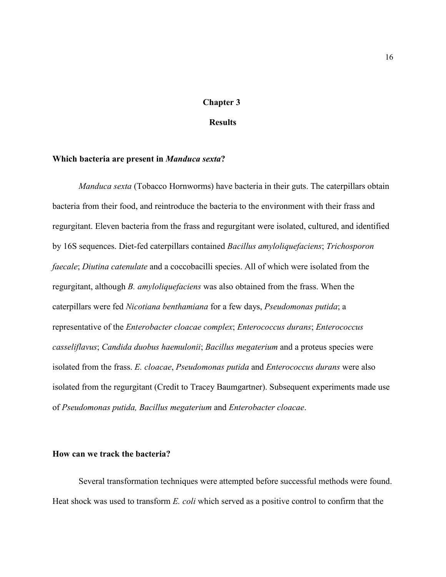## **Chapter 3**

## **Results**

#### <span id="page-21-1"></span><span id="page-21-0"></span>**Which bacteria are present in** *Manduca sexta***?**

*Manduca sexta* (Tobacco Hornworms) have bacteria in their guts. The caterpillars obtain bacteria from their food, and reintroduce the bacteria to the environment with their frass and regurgitant. Eleven bacteria from the frass and regurgitant were isolated, cultured, and identified by 16S sequences. Diet-fed caterpillars contained *Bacillus amyloliquefaciens*; *Trichosporon faecale*; *Diutina catenulate* and a coccobacilli species. All of which were isolated from the regurgitant, although *B. amyloliquefaciens* was also obtained from the frass. When the caterpillars were fed *Nicotiana benthamiana* for a few days, *Pseudomonas putida*; a representative of the *Enterobacter cloacae complex*; *Enterococcus durans*; *Enterococcus casseliflavus*; *Candida duobus haemulonii*; *Bacillus megaterium* and a proteus species were isolated from the frass. *E. cloacae*, *Pseudomonas putida* and *Enterococcus durans* were also isolated from the regurgitant (Credit to Tracey Baumgartner). Subsequent experiments made use of *Pseudomonas putida, Bacillus megaterium* and *Enterobacter cloacae*.

#### <span id="page-21-2"></span>**How can we track the bacteria?**

Several transformation techniques were attempted before successful methods were found. Heat shock was used to transform *E. coli* which served as a positive control to confirm that the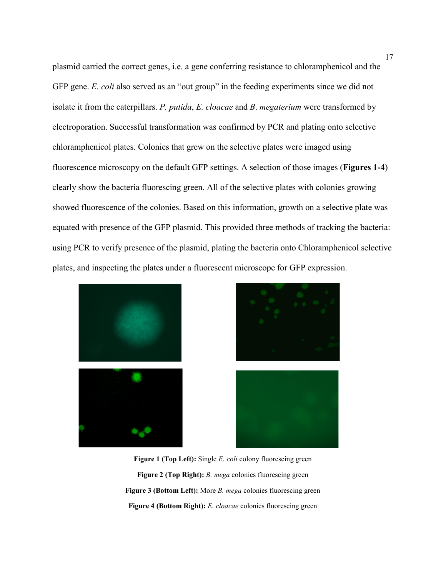plasmid carried the correct genes, i.e. a gene conferring resistance to chloramphenicol and the GFP gene. *E. coli* also served as an "out group" in the feeding experiments since we did not isolate it from the caterpillars. *P. putida*, *E. cloacae* and *B*. *megaterium* were transformed by electroporation. Successful transformation was confirmed by PCR and plating onto selective chloramphenicol plates. Colonies that grew on the selective plates were imaged using fluorescence microscopy on the default GFP settings. A selection of those images (**Figures 1-4**) clearly show the bacteria fluorescing green. All of the selective plates with colonies growing showed fluorescence of the colonies. Based on this information, growth on a selective plate was equated with presence of the GFP plasmid. This provided three methods of tracking the bacteria: using PCR to verify presence of the plasmid, plating the bacteria onto Chloramphenicol selective plates, and inspecting the plates under a fluorescent microscope for GFP expression.





<span id="page-22-3"></span><span id="page-22-2"></span><span id="page-22-1"></span><span id="page-22-0"></span>

**Figure 1 (Top Left):** Single *E. coli* colony fluorescing green **Figure 2 (Top Right):** *B. mega* colonies fluorescing green **Figure 3 (Bottom Left):** More *B. mega* colonies fluorescing green **Figure 4 (Bottom Right):** *E. cloacae* colonies fluorescing green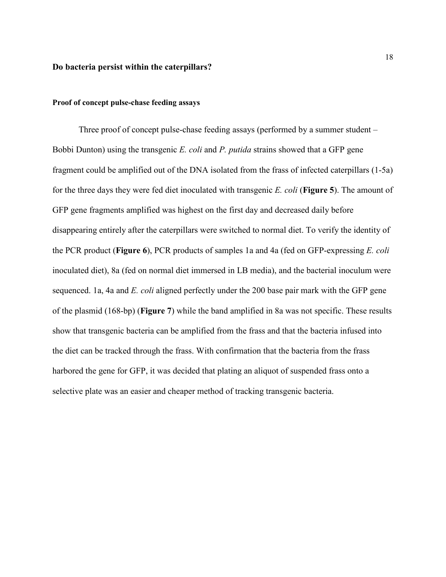#### <span id="page-23-0"></span>**Do bacteria persist within the caterpillars?**

## <span id="page-23-1"></span>**Proof of concept pulse-chase feeding assays**

Three proof of concept pulse-chase feeding assays (performed by a summer student – Bobbi Dunton) using the transgenic *E. coli* and *P. putida* strains showed that a GFP gene fragment could be amplified out of the DNA isolated from the frass of infected caterpillars (1-5a) for the three days they were fed diet inoculated with transgenic *E. coli* (**Figure 5**). The amount of GFP gene fragments amplified was highest on the first day and decreased daily before disappearing entirely after the caterpillars were switched to normal diet. To verify the identity of the PCR product (**Figure 6**), PCR products of samples 1a and 4a (fed on GFP-expressing *E. coli* inoculated diet), 8a (fed on normal diet immersed in LB media), and the bacterial inoculum were sequenced. 1a, 4a and *E. coli* aligned perfectly under the 200 base pair mark with the GFP gene of the plasmid (168-bp) (**Figure 7**) while the band amplified in 8a was not specific. These results show that transgenic bacteria can be amplified from the frass and that the bacteria infused into the diet can be tracked through the frass. With confirmation that the bacteria from the frass harbored the gene for GFP, it was decided that plating an aliquot of suspended frass onto a selective plate was an easier and cheaper method of tracking transgenic bacteria.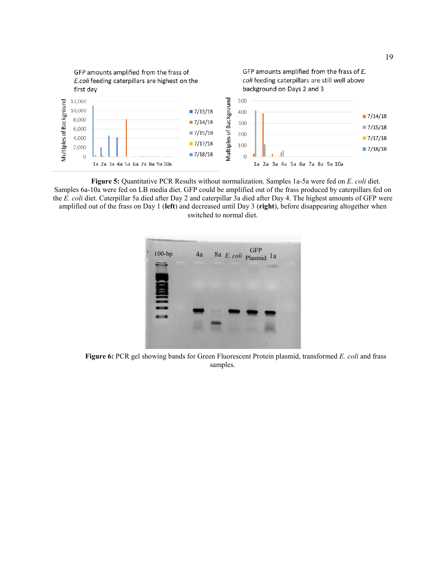<span id="page-24-1"></span>

<span id="page-24-0"></span>**Figure 5:** Quantitative PCR Results without normalization. Samples 1a-5a were fed on *E. coli* diet. Samples 6a-10a were fed on LB media diet. GFP could be amplified out of the frass produced by caterpillars fed on the *E. coli* diet. Caterpillar 5a died after Day 2 and caterpillar 3a died after Day 4. The highest amounts of GFP were amplified out of the frass on Day 1 (**left**) and decreased until Day 3 (**right**), before disappearing altogether when switched to normal diet.



**Figure 6:** PCR gel showing bands for Green Fluorescent Protein plasmid, transformed *E. coli* and frass samples.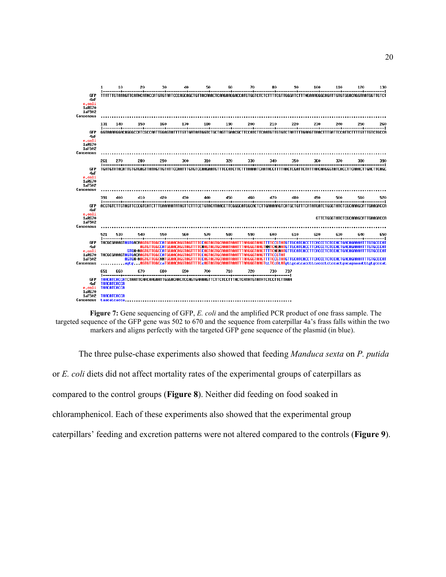<span id="page-25-0"></span>

**Figure 7:** Gene sequencing of GFP, *E. coli* and the amplified PCR product of one frass sample. The targeted sequence of the GFP gene was 502 to 670 and the sequence from caterpillar 4a's frass falls within the two markers and aligns perfectly with the targeted GFP gene sequence of the plasmid (in blue).

The three pulse-chase experiments also showed that feeding *Manduca sexta* on *P. putida* or *E. coli* diets did not affect mortality rates of the experimental groups of caterpillars as compared to the control groups (**Figure 8**). Neither did feeding on food soaked in chloramphenicol. Each of these experiments also showed that the experimental group caterpillars' feeding and excretion patterns were not altered compared to the controls (**Figure 9**).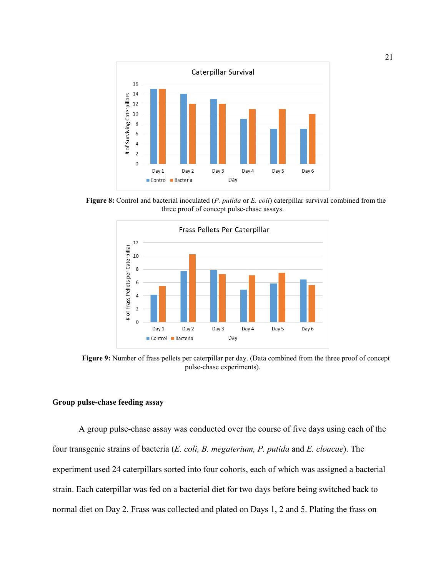

<span id="page-26-1"></span>**Figure 8:** Control and bacterial inoculated (*P. putida* or *E. coli*) caterpillar survival combined from the three proof of concept pulse-chase assays.



<span id="page-26-2"></span>**Figure 9:** Number of frass pellets per caterpillar per day. (Data combined from the three proof of concept pulse-chase experiments).

## <span id="page-26-0"></span>**Group pulse-chase feeding assay**

A group pulse-chase assay was conducted over the course of five days using each of the four transgenic strains of bacteria (*E. coli, B. megaterium, P. putida* and *E. cloacae*). The experiment used 24 caterpillars sorted into four cohorts, each of which was assigned a bacterial strain. Each caterpillar was fed on a bacterial diet for two days before being switched back to normal diet on Day 2. Frass was collected and plated on Days 1, 2 and 5. Plating the frass on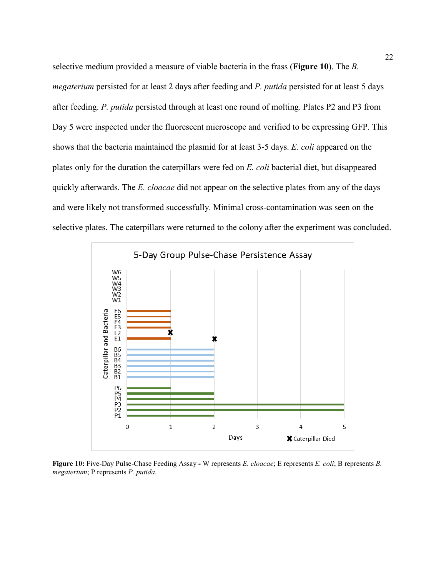selective medium provided a measure of viable bacteria in the frass (**Figure 10**). The *B. megaterium* persisted for at least 2 days after feeding and *P. putida* persisted for at least 5 days after feeding. *P. putida* persisted through at least one round of molting. Plates P2 and P3 from Day 5 were inspected under the fluorescent microscope and verified to be expressing GFP. This shows that the bacteria maintained the plasmid for at least 3-5 days. *E. coli* appeared on the plates only for the duration the caterpillars were fed on *E. coli* bacterial diet, but disappeared quickly afterwards. The *E. cloacae* did not appear on the selective plates from any of the days and were likely not transformed successfully. Minimal cross-contamination was seen on the selective plates. The caterpillars were returned to the colony after the experiment was concluded.



<span id="page-27-0"></span>**Figure 10:** Five-Day Pulse-Chase Feeding Assay **-** W represents *E. cloacae*; E represents *E. coli*; B represents *B. megaterium*; P represents *P. putida*.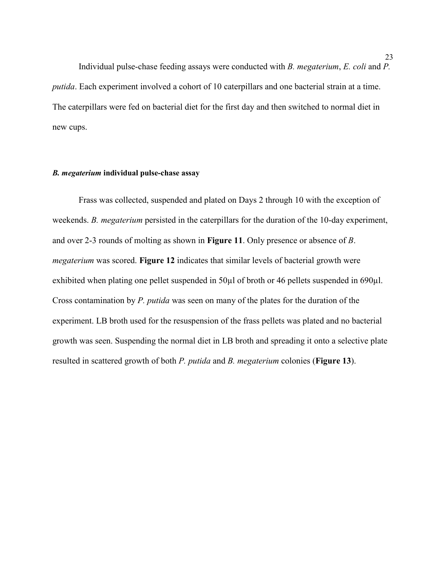Individual pulse-chase feeding assays were conducted with *B. megaterium*, *E. coli* and *P. putida*. Each experiment involved a cohort of 10 caterpillars and one bacterial strain at a time. The caterpillars were fed on bacterial diet for the first day and then switched to normal diet in new cups.

## <span id="page-28-0"></span>*B. megaterium* **individual pulse-chase assay**

Frass was collected, suspended and plated on Days 2 through 10 with the exception of weekends. *B. megaterium* persisted in the caterpillars for the duration of the 10-day experiment, and over 2-3 rounds of molting as shown in **Figure 11**. Only presence or absence of *B*. *megaterium* was scored. **Figure 12** indicates that similar levels of bacterial growth were exhibited when plating one pellet suspended in 50 $\mu$ l of broth or 46 pellets suspended in 690 $\mu$ l. Cross contamination by *P. putida* was seen on many of the plates for the duration of the experiment. LB broth used for the resuspension of the frass pellets was plated and no bacterial growth was seen. Suspending the normal diet in LB broth and spreading it onto a selective plate resulted in scattered growth of both *P. putida* and *B. megaterium* colonies (**Figure 13**).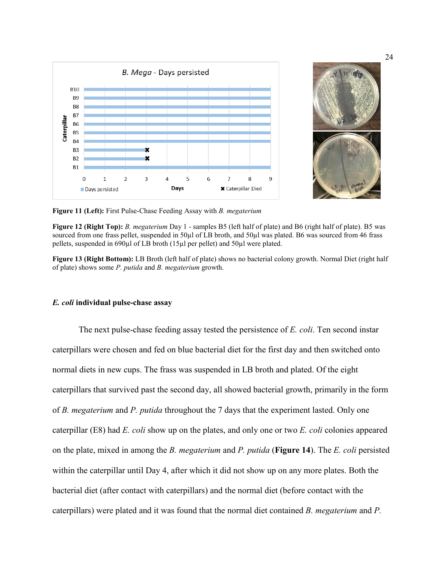



<span id="page-29-1"></span>**Figure 11 (Left):** First Pulse-Chase Feeding Assay with *B. megaterium*

<span id="page-29-2"></span>**Figure 12 (Right Top):** *B. megaterium* Day 1 - samples B5 (left half of plate) and B6 (right half of plate). B5 was sourced from one frass pellet, suspended in 50µl of LB broth, and 50µl was plated. B6 was sourced from 46 frass pellets, suspended in 690µl of LB broth (15µl per pellet) and 50µl were plated.

<span id="page-29-3"></span>**Figure 13 (Right Bottom):** LB Broth (left half of plate) shows no bacterial colony growth. Normal Diet (right half of plate) shows some *P. putida* and *B. megaterium* growth.

#### <span id="page-29-0"></span>*E. coli* **individual pulse-chase assay**

The next pulse-chase feeding assay tested the persistence of *E. coli*. Ten second instar caterpillars were chosen and fed on blue bacterial diet for the first day and then switched onto normal diets in new cups. The frass was suspended in LB broth and plated. Of the eight caterpillars that survived past the second day, all showed bacterial growth, primarily in the form of *B. megaterium* and *P. putida* throughout the 7 days that the experiment lasted. Only one caterpillar (E8) had *E. coli* show up on the plates, and only one or two *E. coli* colonies appeared on the plate, mixed in among the *B. megaterium* and *P. putida* (**Figure 14**). The *E. coli* persisted within the caterpillar until Day 4, after which it did not show up on any more plates. Both the bacterial diet (after contact with caterpillars) and the normal diet (before contact with the caterpillars) were plated and it was found that the normal diet contained *B. megaterium* and *P.*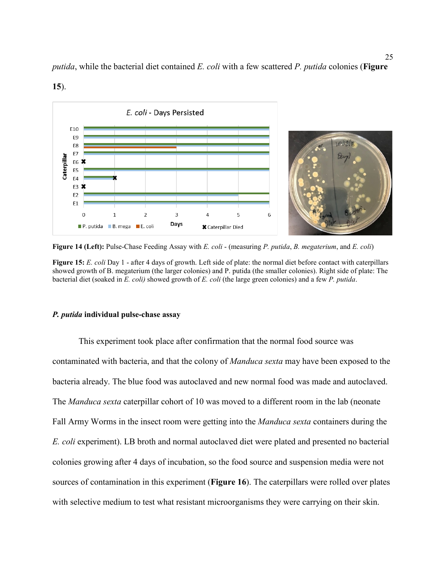

*putida*, while the bacterial diet contained *E. coli* with a few scattered *P. putida* colonies (**Figure** 

<span id="page-30-1"></span>**Figure 14 (Left):** Pulse-Chase Feeding Assay with *E. coli* - (measuring *P. putida*, *B. megaterium*, and *E. coli*)

<span id="page-30-2"></span>**Figure 15:** *E. coli* Day 1 - after 4 days of growth. Left side of plate: the normal diet before contact with caterpillars showed growth of B. megaterium (the larger colonies) and P. putida (the smaller colonies). Right side of plate: The bacterial diet (soaked in *E. coli)* showed growth of *E. coli* (the large green colonies) and a few *P. putida*.

#### <span id="page-30-0"></span>*P. putida* **individual pulse-chase assay**

**15**).

This experiment took place after confirmation that the normal food source was contaminated with bacteria, and that the colony of *Manduca sexta* may have been exposed to the bacteria already. The blue food was autoclaved and new normal food was made and autoclaved. The *Manduca sexta* caterpillar cohort of 10 was moved to a different room in the lab (neonate Fall Army Worms in the insect room were getting into the *Manduca sexta* containers during the *E. coli* experiment). LB broth and normal autoclaved diet were plated and presented no bacterial colonies growing after 4 days of incubation, so the food source and suspension media were not sources of contamination in this experiment (**Figure 16**). The caterpillars were rolled over plates with selective medium to test what resistant microorganisms they were carrying on their skin.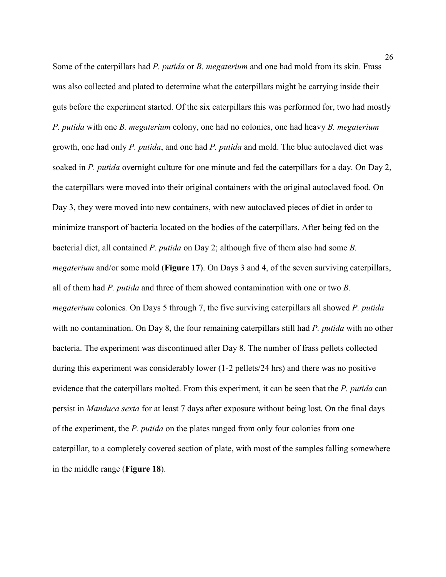Some of the caterpillars had *P. putida* or *B. megaterium* and one had mold from its skin. Frass was also collected and plated to determine what the caterpillars might be carrying inside their guts before the experiment started. Of the six caterpillars this was performed for, two had mostly *P. putida* with one *B. megaterium* colony, one had no colonies, one had heavy *B. megaterium*  growth, one had only *P. putida*, and one had *P. putida* and mold. The blue autoclaved diet was soaked in *P. putida* overnight culture for one minute and fed the caterpillars for a day. On Day 2, the caterpillars were moved into their original containers with the original autoclaved food. On Day 3, they were moved into new containers, with new autoclaved pieces of diet in order to minimize transport of bacteria located on the bodies of the caterpillars. After being fed on the bacterial diet, all contained *P. putida* on Day 2; although five of them also had some *B. megaterium* and/or some mold (**Figure 17**). On Days 3 and 4, of the seven surviving caterpillars, all of them had *P. putida* and three of them showed contamination with one or two *B. megaterium* colonies*.* On Days 5 through 7, the five surviving caterpillars all showed *P. putida*  with no contamination. On Day 8, the four remaining caterpillars still had *P. putida* with no other bacteria. The experiment was discontinued after Day 8. The number of frass pellets collected during this experiment was considerably lower (1-2 pellets/24 hrs) and there was no positive evidence that the caterpillars molted. From this experiment, it can be seen that the *P. putida* can persist in *Manduca sexta* for at least 7 days after exposure without being lost. On the final days of the experiment, the *P. putida* on the plates ranged from only four colonies from one caterpillar, to a completely covered section of plate, with most of the samples falling somewhere in the middle range (**[Figure 18](#page-32-3)**).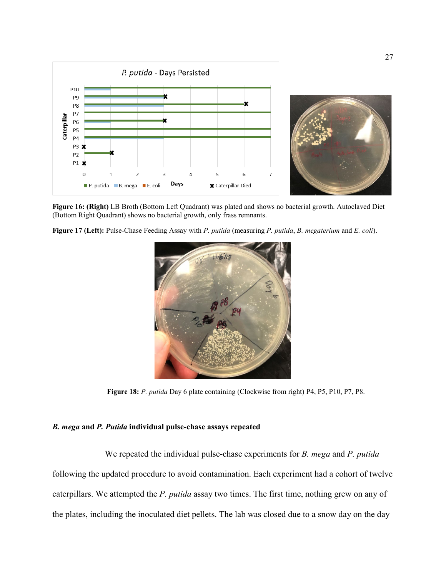

<span id="page-32-1"></span>**Figure 16: (Right)** LB Broth (Bottom Left Quadrant) was plated and shows no bacterial growth. Autoclaved Diet (Bottom Right Quadrant) shows no bacterial growth, only frass remnants.

<span id="page-32-2"></span>**Figure 17 (Left):** Pulse-Chase Feeding Assay with *P. putida* (measuring *P. putida*, *B. megaterium* and *E. coli*).



**Figure 18:** *P. putida* Day 6 plate containing (Clockwise from right) P4, P5, P10, P7, P8.

## <span id="page-32-3"></span><span id="page-32-0"></span>*B. mega* **and** *P. Putida* **individual pulse-chase assays repeated**

We repeated the individual pulse-chase experiments for *B. mega* and *P. putida* following the updated procedure to avoid contamination. Each experiment had a cohort of twelve caterpillars. We attempted the *P. putida* assay two times. The first time, nothing grew on any of the plates, including the inoculated diet pellets. The lab was closed due to a snow day on the day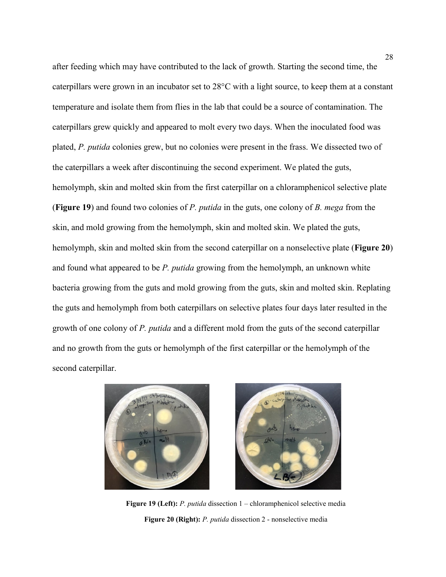after feeding which may have contributed to the lack of growth. Starting the second time, the caterpillars were grown in an incubator set to 28°C with a light source, to keep them at a constant temperature and isolate them from flies in the lab that could be a source of contamination. The caterpillars grew quickly and appeared to molt every two days. When the inoculated food was plated, *P. putida* colonies grew, but no colonies were present in the frass. We dissected two of the caterpillars a week after discontinuing the second experiment. We plated the guts, hemolymph, skin and molted skin from the first caterpillar on a chloramphenicol selective plate (**[Figure 19](#page-33-0)**) and found two colonies of *P. putida* in the guts, one colony of *B. mega* from the skin, and mold growing from the hemolymph, skin and molted skin. We plated the guts, hemolymph, skin and molted skin from the second caterpillar on a nonselective plate (**[Figure 20](#page-33-1)**) and found what appeared to be *P. putida* growing from the hemolymph, an unknown white bacteria growing from the guts and mold growing from the guts, skin and molted skin. Replating the guts and hemolymph from both caterpillars on selective plates four days later resulted in the growth of one colony of *P. putida* and a different mold from the guts of the second caterpillar and no growth from the guts or hemolymph of the first caterpillar or the hemolymph of the second caterpillar.

<span id="page-33-1"></span><span id="page-33-0"></span>



**Figure 19 (Left):** *P. putida* dissection 1 – chloramphenicol selective media **Figure 20 (Right):** *P. putida* dissection 2 - nonselective media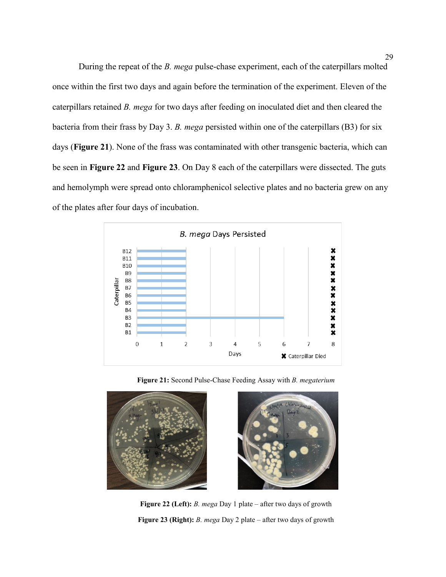During the repeat of the *B. mega* pulse-chase experiment, each of the caterpillars molted once within the first two days and again before the termination of the experiment. Eleven of the caterpillars retained *B. mega* for two days after feeding on inoculated diet and then cleared the bacteria from their frass by Day 3. *B. mega* persisted within one of the caterpillars (B3) for six days (**[Figure 21](#page-34-0)**). None of the frass was contaminated with other transgenic bacteria, which can be seen in **[Figure 22](#page-34-1)** and **[Figure 23](#page-34-3)**. On Day 8 each of the caterpillars were dissected. The guts and hemolymph were spread onto chloramphenicol selective plates and no bacteria grew on any of the plates after four days of incubation.



<span id="page-34-3"></span>**Figure 21:** Second Pulse-Chase Feeding Assay with *B. megaterium*

<span id="page-34-2"></span><span id="page-34-1"></span><span id="page-34-0"></span>

**Figure 22 (Left):** *B. mega* Day 1 plate – after two days of growth **Figure 23 (Right):** *B. mega* Day 2 plate – after two days of growth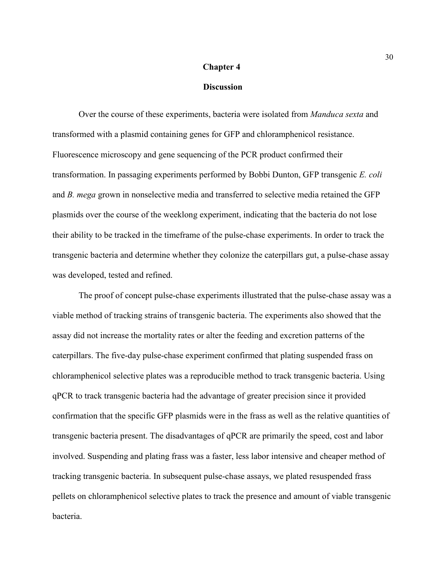#### **Chapter 4**

#### **Discussion**

<span id="page-35-0"></span>Over the course of these experiments, bacteria were isolated from *Manduca sexta* and transformed with a plasmid containing genes for GFP and chloramphenicol resistance. Fluorescence microscopy and gene sequencing of the PCR product confirmed their transformation. In passaging experiments performed by Bobbi Dunton, GFP transgenic *E. coli*  and *B. mega* grown in nonselective media and transferred to selective media retained the GFP plasmids over the course of the weeklong experiment, indicating that the bacteria do not lose their ability to be tracked in the timeframe of the pulse-chase experiments. In order to track the transgenic bacteria and determine whether they colonize the caterpillars gut, a pulse-chase assay was developed, tested and refined.

The proof of concept pulse-chase experiments illustrated that the pulse-chase assay was a viable method of tracking strains of transgenic bacteria. The experiments also showed that the assay did not increase the mortality rates or alter the feeding and excretion patterns of the caterpillars. The five-day pulse-chase experiment confirmed that plating suspended frass on chloramphenicol selective plates was a reproducible method to track transgenic bacteria. Using qPCR to track transgenic bacteria had the advantage of greater precision since it provided confirmation that the specific GFP plasmids were in the frass as well as the relative quantities of transgenic bacteria present. The disadvantages of qPCR are primarily the speed, cost and labor involved. Suspending and plating frass was a faster, less labor intensive and cheaper method of tracking transgenic bacteria. In subsequent pulse-chase assays, we plated resuspended frass pellets on chloramphenicol selective plates to track the presence and amount of viable transgenic bacteria.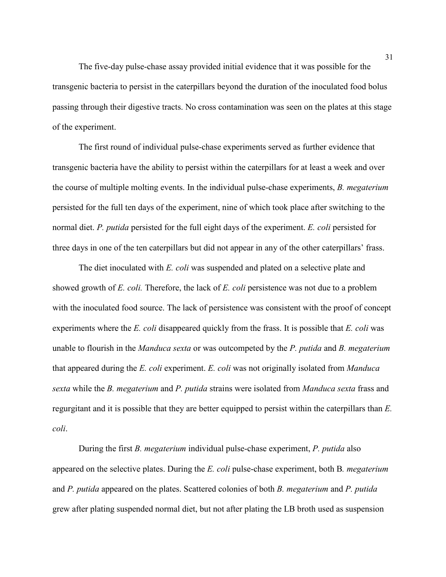The five-day pulse-chase assay provided initial evidence that it was possible for the transgenic bacteria to persist in the caterpillars beyond the duration of the inoculated food bolus passing through their digestive tracts. No cross contamination was seen on the plates at this stage of the experiment.

The first round of individual pulse-chase experiments served as further evidence that transgenic bacteria have the ability to persist within the caterpillars for at least a week and over the course of multiple molting events. In the individual pulse-chase experiments, *B. megaterium* persisted for the full ten days of the experiment, nine of which took place after switching to the normal diet. *P. putida* persisted for the full eight days of the experiment. *E. coli* persisted for three days in one of the ten caterpillars but did not appear in any of the other caterpillars' frass.

The diet inoculated with *E. coli* was suspended and plated on a selective plate and showed growth of *E. coli.* Therefore, the lack of *E. coli* persistence was not due to a problem with the inoculated food source. The lack of persistence was consistent with the proof of concept experiments where the *E. coli* disappeared quickly from the frass. It is possible that *E. coli* was unable to flourish in the *Manduca sexta* or was outcompeted by the *P. putida* and *B. megaterium* that appeared during the *E. coli* experiment. *E. coli* was not originally isolated from *Manduca sexta* while the *B. megaterium* and *P. putida* strains were isolated from *Manduca sexta* frass and regurgitant and it is possible that they are better equipped to persist within the caterpillars than *E. coli*.

During the first *B. megaterium* individual pulse-chase experiment, *P. putida* also appeared on the selective plates. During the *E. coli* pulse-chase experiment, both B*. megaterium* and *P. putida* appeared on the plates. Scattered colonies of both *B. megaterium* and *P. putida* grew after plating suspended normal diet, but not after plating the LB broth used as suspension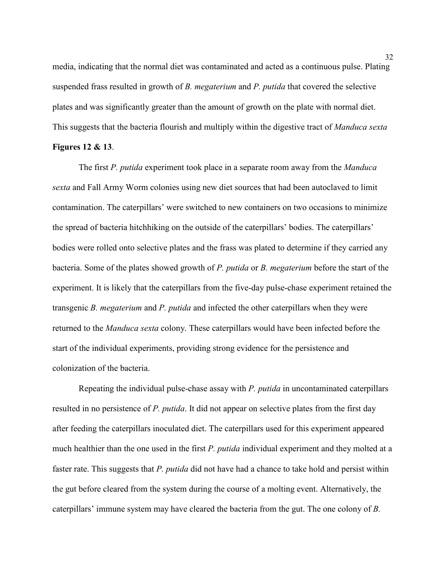media, indicating that the normal diet was contaminated and acted as a continuous pulse. Plating suspended frass resulted in growth of *B. megaterium* and *P. putida* that covered the selective plates and was significantly greater than the amount of growth on the plate with normal diet. This suggests that the bacteria flourish and multiply within the digestive tract of *Manduca sexta* **Figures 12 & 13**.

The first *P. putida* experiment took place in a separate room away from the *Manduca sexta* and Fall Army Worm colonies using new diet sources that had been autoclaved to limit contamination. The caterpillars' were switched to new containers on two occasions to minimize the spread of bacteria hitchhiking on the outside of the caterpillars' bodies. The caterpillars' bodies were rolled onto selective plates and the frass was plated to determine if they carried any bacteria. Some of the plates showed growth of *P. putida* or *B. megaterium* before the start of the experiment. It is likely that the caterpillars from the five-day pulse-chase experiment retained the transgenic *B. megaterium* and *P. putida* and infected the other caterpillars when they were returned to the *Manduca sexta* colony. These caterpillars would have been infected before the start of the individual experiments, providing strong evidence for the persistence and colonization of the bacteria.

Repeating the individual pulse-chase assay with *P. putida* in uncontaminated caterpillars resulted in no persistence of *P. putida*. It did not appear on selective plates from the first day after feeding the caterpillars inoculated diet. The caterpillars used for this experiment appeared much healthier than the one used in the first *P. putida* individual experiment and they molted at a faster rate. This suggests that *P. putida* did not have had a chance to take hold and persist within the gut before cleared from the system during the course of a molting event. Alternatively, the caterpillars' immune system may have cleared the bacteria from the gut. The one colony of *B.*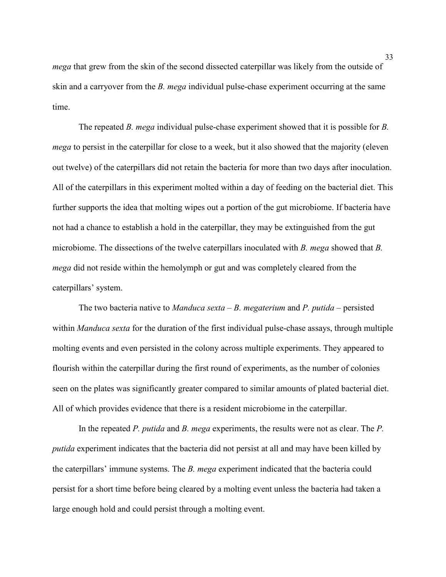*mega* that grew from the skin of the second dissected caterpillar was likely from the outside of skin and a carryover from the *B. mega* individual pulse-chase experiment occurring at the same time.

The repeated *B. mega* individual pulse-chase experiment showed that it is possible for *B. mega* to persist in the caterpillar for close to a week, but it also showed that the majority (eleven out twelve) of the caterpillars did not retain the bacteria for more than two days after inoculation. All of the caterpillars in this experiment molted within a day of feeding on the bacterial diet. This further supports the idea that molting wipes out a portion of the gut microbiome. If bacteria have not had a chance to establish a hold in the caterpillar, they may be extinguished from the gut microbiome. The dissections of the twelve caterpillars inoculated with *B. mega* showed that *B. mega* did not reside within the hemolymph or gut and was completely cleared from the caterpillars' system.

The two bacteria native to *Manduca sexta – B. megaterium* and *P. putida –* persisted within *Manduca sexta* for the duration of the first individual pulse-chase assays, through multiple molting events and even persisted in the colony across multiple experiments. They appeared to flourish within the caterpillar during the first round of experiments, as the number of colonies seen on the plates was significantly greater compared to similar amounts of plated bacterial diet. All of which provides evidence that there is a resident microbiome in the caterpillar.

In the repeated *P. putida* and *B. mega* experiments, the results were not as clear. The *P. putida* experiment indicates that the bacteria did not persist at all and may have been killed by the caterpillars' immune systems. The *B. mega* experiment indicated that the bacteria could persist for a short time before being cleared by a molting event unless the bacteria had taken a large enough hold and could persist through a molting event.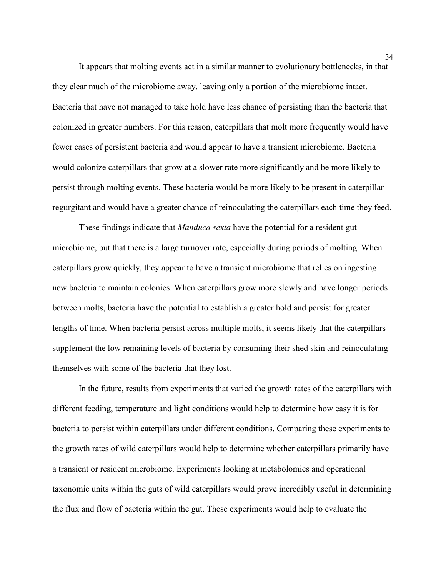It appears that molting events act in a similar manner to evolutionary bottlenecks, in that they clear much of the microbiome away, leaving only a portion of the microbiome intact. Bacteria that have not managed to take hold have less chance of persisting than the bacteria that colonized in greater numbers. For this reason, caterpillars that molt more frequently would have fewer cases of persistent bacteria and would appear to have a transient microbiome. Bacteria would colonize caterpillars that grow at a slower rate more significantly and be more likely to persist through molting events. These bacteria would be more likely to be present in caterpillar regurgitant and would have a greater chance of reinoculating the caterpillars each time they feed.

These findings indicate that *Manduca sexta* have the potential for a resident gut microbiome, but that there is a large turnover rate, especially during periods of molting. When caterpillars grow quickly, they appear to have a transient microbiome that relies on ingesting new bacteria to maintain colonies. When caterpillars grow more slowly and have longer periods between molts, bacteria have the potential to establish a greater hold and persist for greater lengths of time. When bacteria persist across multiple molts, it seems likely that the caterpillars supplement the low remaining levels of bacteria by consuming their shed skin and reinoculating themselves with some of the bacteria that they lost.

In the future, results from experiments that varied the growth rates of the caterpillars with different feeding, temperature and light conditions would help to determine how easy it is for bacteria to persist within caterpillars under different conditions. Comparing these experiments to the growth rates of wild caterpillars would help to determine whether caterpillars primarily have a transient or resident microbiome. Experiments looking at metabolomics and operational taxonomic units within the guts of wild caterpillars would prove incredibly useful in determining the flux and flow of bacteria within the gut. These experiments would help to evaluate the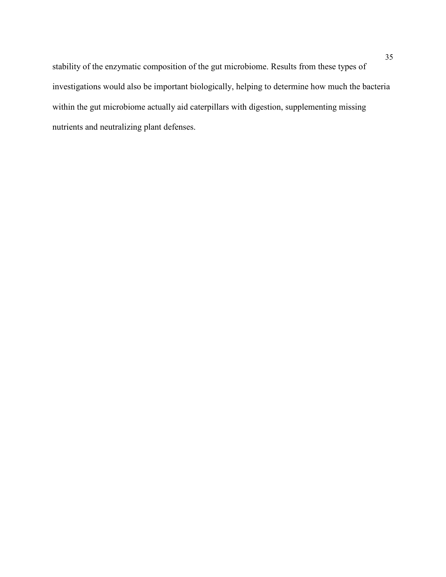stability of the enzymatic composition of the gut microbiome. Results from these types of investigations would also be important biologically, helping to determine how much the bacteria within the gut microbiome actually aid caterpillars with digestion, supplementing missing nutrients and neutralizing plant defenses.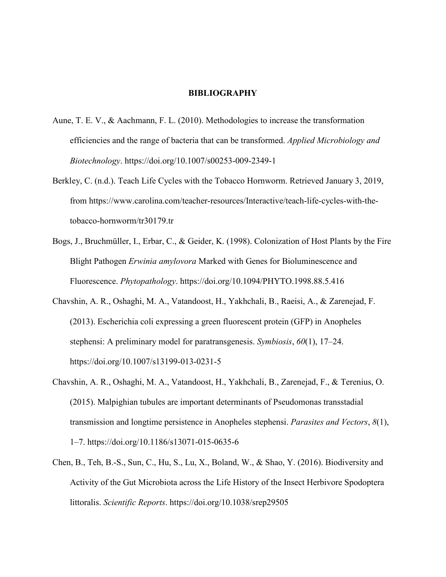#### **BIBLIOGRAPHY**

- <span id="page-41-0"></span>Aune, T. E. V., & Aachmann, F. L. (2010). Methodologies to increase the transformation efficiencies and the range of bacteria that can be transformed. *Applied Microbiology and Biotechnology*. https://doi.org/10.1007/s00253-009-2349-1
- Berkley, C. (n.d.). Teach Life Cycles with the Tobacco Hornworm. Retrieved January 3, 2019, from https://www.carolina.com/teacher-resources/Interactive/teach-life-cycles-with-thetobacco-hornworm/tr30179.tr
- Bogs, J., Bruchmüller, I., Erbar, C., & Geider, K. (1998). Colonization of Host Plants by the Fire Blight Pathogen *Erwinia amylovora* Marked with Genes for Bioluminescence and Fluorescence. *Phytopathology*. https://doi.org/10.1094/PHYTO.1998.88.5.416
- Chavshin, A. R., Oshaghi, M. A., Vatandoost, H., Yakhchali, B., Raeisi, A., & Zarenejad, F. (2013). Escherichia coli expressing a green fluorescent protein (GFP) in Anopheles stephensi: A preliminary model for paratransgenesis. *Symbiosis*, *60*(1), 17–24. https://doi.org/10.1007/s13199-013-0231-5
- Chavshin, A. R., Oshaghi, M. A., Vatandoost, H., Yakhchali, B., Zarenejad, F., & Terenius, O. (2015). Malpighian tubules are important determinants of Pseudomonas transstadial transmission and longtime persistence in Anopheles stephensi. *Parasites and Vectors*, *8*(1), 1–7. https://doi.org/10.1186/s13071-015-0635-6
- Chen, B., Teh, B.-S., Sun, C., Hu, S., Lu, X., Boland, W., & Shao, Y. (2016). Biodiversity and Activity of the Gut Microbiota across the Life History of the Insect Herbivore Spodoptera littoralis. *Scientific Reports*. https://doi.org/10.1038/srep29505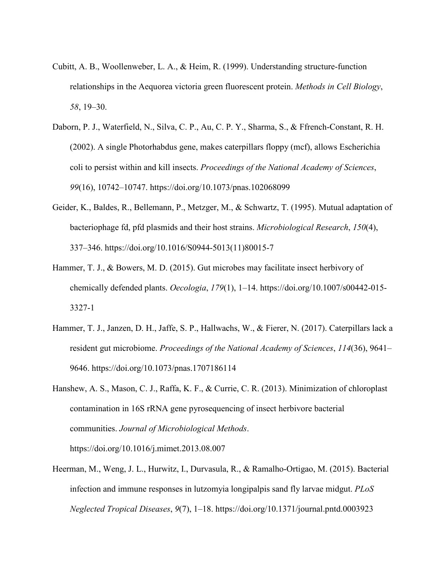- Cubitt, A. B., Woollenweber, L. A., & Heim, R. (1999). Understanding structure-function relationships in the Aequorea victoria green fluorescent protein. *Methods in Cell Biology*, *58*, 19–30.
- Daborn, P. J., Waterfield, N., Silva, C. P., Au, C. P. Y., Sharma, S., & Ffrench-Constant, R. H. (2002). A single Photorhabdus gene, makes caterpillars floppy (mcf), allows Escherichia coli to persist within and kill insects. *Proceedings of the National Academy of Sciences*, *99*(16), 10742–10747. https://doi.org/10.1073/pnas.102068099
- Geider, K., Baldes, R., Bellemann, P., Metzger, M., & Schwartz, T. (1995). Mutual adaptation of bacteriophage fd, pfd plasmids and their host strains. *Microbiological Research*, *150*(4), 337–346. https://doi.org/10.1016/S0944-5013(11)80015-7
- Hammer, T. J., & Bowers, M. D. (2015). Gut microbes may facilitate insect herbivory of chemically defended plants. *Oecologia*, *179*(1), 1–14. https://doi.org/10.1007/s00442-015- 3327-1
- Hammer, T. J., Janzen, D. H., Jaffe, S. P., Hallwachs, W., & Fierer, N. (2017). Caterpillars lack a resident gut microbiome. *Proceedings of the National Academy of Sciences*, *114*(36), 9641– 9646. https://doi.org/10.1073/pnas.1707186114
- Hanshew, A. S., Mason, C. J., Raffa, K. F., & Currie, C. R. (2013). Minimization of chloroplast contamination in 16S rRNA gene pyrosequencing of insect herbivore bacterial communities. *Journal of Microbiological Methods*. https://doi.org/10.1016/j.mimet.2013.08.007
- Heerman, M., Weng, J. L., Hurwitz, I., Durvasula, R., & Ramalho-Ortigao, M. (2015). Bacterial infection and immune responses in lutzomyia longipalpis sand fly larvae midgut. *PLoS Neglected Tropical Diseases*, *9*(7), 1–18. https://doi.org/10.1371/journal.pntd.0003923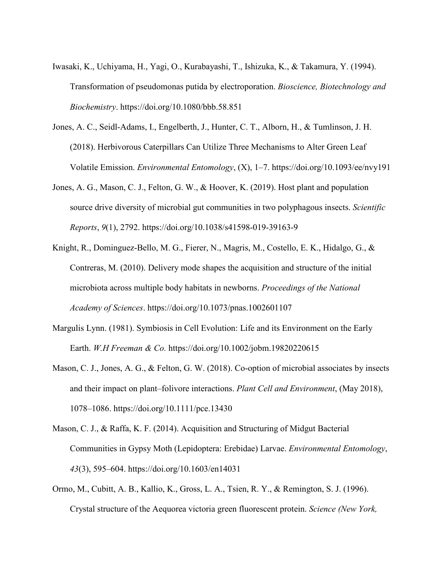- Iwasaki, K., Uchiyama, H., Yagi, O., Kurabayashi, T., Ishizuka, K., & Takamura, Y. (1994). Transformation of pseudomonas putida by electroporation. *Bioscience, Biotechnology and Biochemistry*. https://doi.org/10.1080/bbb.58.851
- Jones, A. C., Seidl-Adams, I., Engelberth, J., Hunter, C. T., Alborn, H., & Tumlinson, J. H. (2018). Herbivorous Caterpillars Can Utilize Three Mechanisms to Alter Green Leaf Volatile Emission. *Environmental Entomology*, (X), 1–7. https://doi.org/10.1093/ee/nvy191
- Jones, A. G., Mason, C. J., Felton, G. W., & Hoover, K. (2019). Host plant and population source drive diversity of microbial gut communities in two polyphagous insects. *Scientific Reports*, *9*(1), 2792. https://doi.org/10.1038/s41598-019-39163-9
- Knight, R., Dominguez-Bello, M. G., Fierer, N., Magris, M., Costello, E. K., Hidalgo, G., & Contreras, M. (2010). Delivery mode shapes the acquisition and structure of the initial microbiota across multiple body habitats in newborns. *Proceedings of the National Academy of Sciences*. https://doi.org/10.1073/pnas.1002601107
- Margulis Lynn. (1981). Symbiosis in Cell Evolution: Life and its Environment on the Early Earth. *W.H Freeman & Co.* https://doi.org/10.1002/jobm.19820220615
- Mason, C. J., Jones, A. G., & Felton, G. W. (2018). Co-option of microbial associates by insects and their impact on plant–folivore interactions. *Plant Cell and Environment*, (May 2018), 1078–1086. https://doi.org/10.1111/pce.13430
- Mason, C. J., & Raffa, K. F. (2014). Acquisition and Structuring of Midgut Bacterial Communities in Gypsy Moth (Lepidoptera: Erebidae) Larvae. *Environmental Entomology*, *43*(3), 595–604. https://doi.org/10.1603/en14031
- Ormo, M., Cubitt, A. B., Kallio, K., Gross, L. A., Tsien, R. Y., & Remington, S. J. (1996). Crystal structure of the Aequorea victoria green fluorescent protein. *Science (New York,*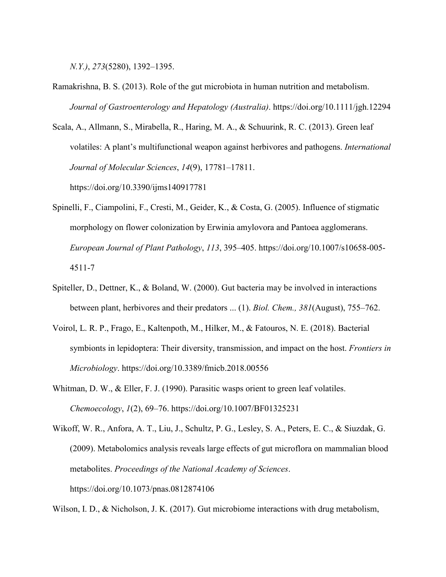*N.Y.)*, *273*(5280), 1392–1395.

- Ramakrishna, B. S. (2013). Role of the gut microbiota in human nutrition and metabolism. *Journal of Gastroenterology and Hepatology (Australia)*. https://doi.org/10.1111/jgh.12294
- Scala, A., Allmann, S., Mirabella, R., Haring, M. A., & Schuurink, R. C. (2013). Green leaf volatiles: A plant's multifunctional weapon against herbivores and pathogens. *International Journal of Molecular Sciences*, *14*(9), 17781–17811. https://doi.org/10.3390/ijms140917781
- Spinelli, F., Ciampolini, F., Cresti, M., Geider, K., & Costa, G. (2005). Influence of stigmatic morphology on flower colonization by Erwinia amylovora and Pantoea agglomerans. *European Journal of Plant Pathology*, *113*, 395–405. https://doi.org/10.1007/s10658-005- 4511-7
- Spiteller, D., Dettner, K., & Boland, W. (2000). Gut bacteria may be involved in interactions between plant, herbivores and their predators ... (1). *Biol. Chem., 381*(August), 755–762.
- Voirol, L. R. P., Frago, E., Kaltenpoth, M., Hilker, M., & Fatouros, N. E. (2018). Bacterial symbionts in lepidoptera: Their diversity, transmission, and impact on the host. *Frontiers in Microbiology*. https://doi.org/10.3389/fmicb.2018.00556
- Whitman, D. W., & Eller, F. J. (1990). Parasitic wasps orient to green leaf volatiles. *Chemoecology*, *1*(2), 69–76. https://doi.org/10.1007/BF01325231
- Wikoff, W. R., Anfora, A. T., Liu, J., Schultz, P. G., Lesley, S. A., Peters, E. C., & Siuzdak, G. (2009). Metabolomics analysis reveals large effects of gut microflora on mammalian blood metabolites. *Proceedings of the National Academy of Sciences*. https://doi.org/10.1073/pnas.0812874106

Wilson, I. D., & Nicholson, J. K. (2017). Gut microbiome interactions with drug metabolism,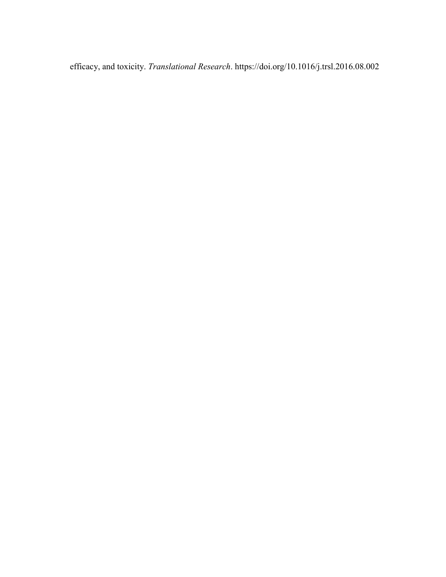efficacy, and toxicity. *Translational Research*. https://doi.org/10.1016/j.trsl.2016.08.002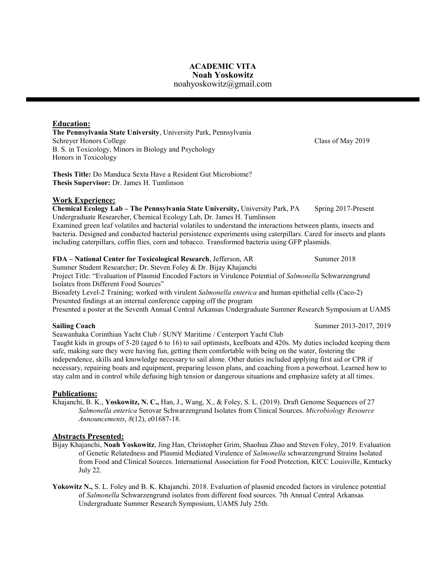# **ACADEMIC VITA Noah Yoskowitz**

## noahyoskowitz@gmail.com

## <span id="page-46-0"></span>**Education:**

**The Pennsylvania State University**, University Park, Pennsylvania Schreyer Honors College Class of May 2019 B. S. in Toxicology, Minors in Biology and Psychology Honors in Toxicology

**Thesis Title:** Do Manduca Sexta Have a Resident Gut Microbiome? **Thesis Supervisor:** Dr. James H. Tumlinson

## **Work Experience:**

**Chemical Ecology Lab – The Pennsylvania State University,** University Park, PA Spring 2017-Present Undergraduate Researcher, Chemical Ecology Lab, Dr. James H. Tumlinson Examined green leaf volatiles and bacterial volatiles to understand the interactions between plants, insects and bacteria. Designed and conducted bacterial persistence experiments using caterpillars. Cared for insects and plants including caterpillars, coffin flies, corn and tobacco. Transformed bacteria using GFP plasmids.

#### **FDA – National Center for Toxicological Research**, Jefferson, AR Summer 2018

Summer Student Researcher; Dr. Steven Foley & Dr. Bijay Khajanchi Project Title: "Evaluation of Plasmid Encoded Factors in Virulence Potential of *Salmonella* Schwarzengrund Isolates from Different Food Sources"

Biosafety Level-2 Training; worked with virulent *Salmonella enterica* and human epithelial cells (Caco-2) Presented findings at an internal conference capping off the program

Presented a poster at the Seventh Annual Central Arkansas Undergraduate Summer Research Symposium at UAMS

Seawanhaka Corinthian Yacht Club / SUNY Maritime / Centerport Yacht Club Taught kids in groups of 5-20 (aged 6 to 16) to sail optimists, keelboats and 420s. My duties included keeping them safe, making sure they were having fun, getting them comfortable with being on the water, fostering the independence, skills and knowledge necessary to sail alone. Other duties included applying first aid or CPR if necessary, repairing boats and equipment, preparing lesson plans, and coaching from a powerboat. Learned how to stay calm and in control while defusing high tension or dangerous situations and emphasize safety at all times.

## **Publications:**

Khajanchi, B. K., **Yoskowitz, N. C.,** Han, J., Wang, X., & Foley, S. L. (2019). Draft Genome Sequences of 27 *Salmonella enterica* Serovar Schwarzengrund Isolates from Clinical Sources. *Microbiology Resource Announcements*, *8*(12), e01687-18.

## **Abstracts Presented:**

- Bijay Khajanchi, **Noah Yoskowitz**, Jing Han, Christopher Grim, Shaohua Zhao and Steven Foley, 2019. Evaluation of Genetic Relatedness and Plasmid Mediated Virulence of *Salmonella* schwarzengrund Strains Isolated from Food and Clinical Sources. International Association for Food Protection, KICC Louisville, Kentucky July 22.
- Yokowitz N., S. L. Foley and B. K. Khajanchi. 2018. Evaluation of plasmid encoded factors in virulence potential of *Salmonella* Schwarzengrund isolates from different food sources. 7th Annual Central Arkansas Undergraduate Summer Research Symposium, UAMS July 25th.

**Sailing Coach** Summer 2013-2017, 2019